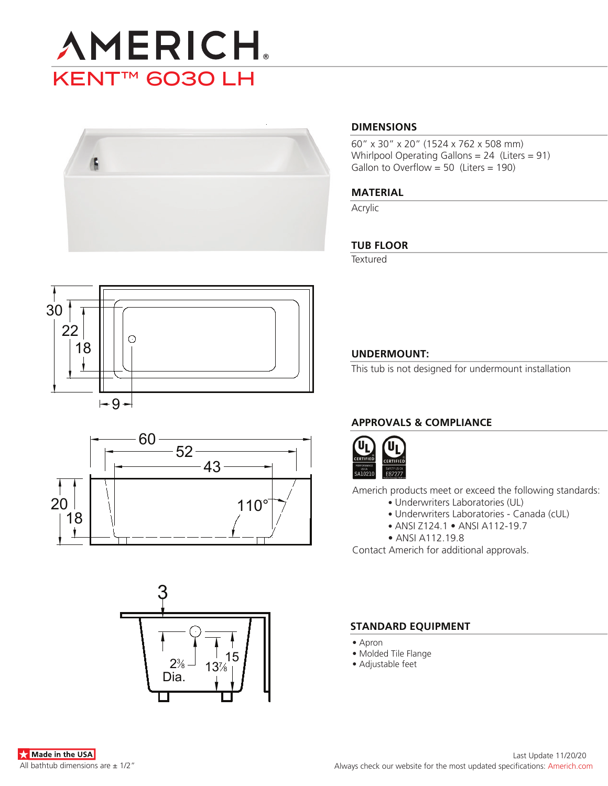



# **DIMENSIONS**

60" x 30" x 20" (1524 x 762 x 508 mm) Whirlpool Operating Gallons = 24 (Liters = 91) Gallon to Overflow = 50 (Liters = 190)

#### **MATERIAL**

Acrylic

# **TUB FLOOR**

**Textured** 





# 15  $13%$ 3  $2\%$ Dia.

# **UNDERMOUNT:**

This tub is not designed for undermount installation

# **APPROVALS & COMPLIANCE**



Americh products meet or exceed the following standards:

- Underwriters Laboratories (UL)
	- Underwriters Laboratories Canada (cUL)
	- ANSI Z124.1 ANSI A112-19.7
- ANSI A112.19.8

Contact Americh for additional approvals.

#### **STANDARD EQUIPMENT**

- Apron
- Molded Tile Flange
- Adjustable feet